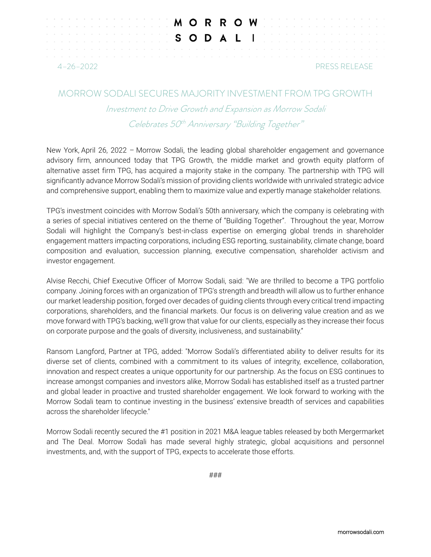|                                  |  |  |  |  |  |  |  |  |  |  |  |  |  |  |  | <b>A REPORT OF A RICHARD WILLIAM CONTROLLER OF WILLIAM CONTROLLER CONTROLLER CONTROLLER CONTROLLER CONTROLLER CONTROLLER CONTROLLER CONTROLLER CONTROLLER CONTROLLER CONTROLLER CONTROLLER CONTROLLER CONTROLLER CONTROLLER CONT</b> |  |  |  |  |  |  |  |  |  |  |  |
|----------------------------------|--|--|--|--|--|--|--|--|--|--|--|--|--|--|--|--------------------------------------------------------------------------------------------------------------------------------------------------------------------------------------------------------------------------------------|--|--|--|--|--|--|--|--|--|--|--|
|                                  |  |  |  |  |  |  |  |  |  |  |  |  |  |  |  | <b>Experience I amount of S O D A L I</b> control the second that                                                                                                                                                                    |  |  |  |  |  |  |  |  |  |  |  |
|                                  |  |  |  |  |  |  |  |  |  |  |  |  |  |  |  |                                                                                                                                                                                                                                      |  |  |  |  |  |  |  |  |  |  |  |
| PRESS RELEASE<br>$4 - 26 - 2022$ |  |  |  |  |  |  |  |  |  |  |  |  |  |  |  |                                                                                                                                                                                                                                      |  |  |  |  |  |  |  |  |  |  |  |

## MORROW SODALI SECURES MAJORITY INVESTMENT FROM TPG GROWTH

Investment to Drive Growth and Expansion as Morrow Sodali Celebrates 50<sup>th</sup> Anniversary "Building Together"

New York, April 26, 2022 – Morrow Sodali, the leading global shareholder engagement and governance advisory firm, announced today that TPG Growth, the middle market and growth equity platform of alternative asset firm TPG, has acquired a majority stake in the company. The partnership with TPG will significantly advance Morrow Sodali's mission of providing clients worldwide with unrivaled strategic advice and comprehensive support, enabling them to maximize value and expertly manage stakeholder relations.

TPG's investment coincides with Morrow Sodali's 50th anniversary, which the company is celebrating with a series of special initiatives centered on the theme of "Building Together". Throughout the year, Morrow Sodali will highlight the Company's best-in-class expertise on emerging global trends in shareholder engagement matters impacting corporations, including ESG reporting, sustainability, climate change, board composition and evaluation, succession planning, executive compensation, shareholder activism and investor engagement.

Alvise Recchi, Chief Executive Officer of Morrow Sodali, said: "We are thrilled to become a TPG portfolio company. Joining forces with an organization of TPG's strength and breadth will allow us to further enhance our market leadership position, forged over decades of guiding clients through every critical trend impacting corporations, shareholders, and the financial markets. Our focus is on delivering value creation and as we move forward with TPG's backing, we'll grow that value for our clients, especially as they increase their focus on corporate purpose and the goals of diversity, inclusiveness, and sustainability."

Ransom Langford, Partner at TPG, added: "Morrow Sodali's differentiated ability to deliver results for its diverse set of clients, combined with a commitment to its values of integrity, excellence, collaboration, innovation and respect creates a unique opportunity for our partnership. As the focus on ESG continues to increase amongst companies and investors alike, Morrow Sodali has established itself as a trusted partner and global leader in proactive and trusted shareholder engagement. We look forward to working with the Morrow Sodali team to continue investing in the business' extensive breadth of services and capabilities across the shareholder lifecycle."

Morrow Sodali recently secured the #1 position in 2021 M&A league tables released by both Mergermarket and The Deal. Morrow Sodali has made several highly strategic, global acquisitions and personnel investments, and, with the support of TPG, expects to accelerate those efforts.

###